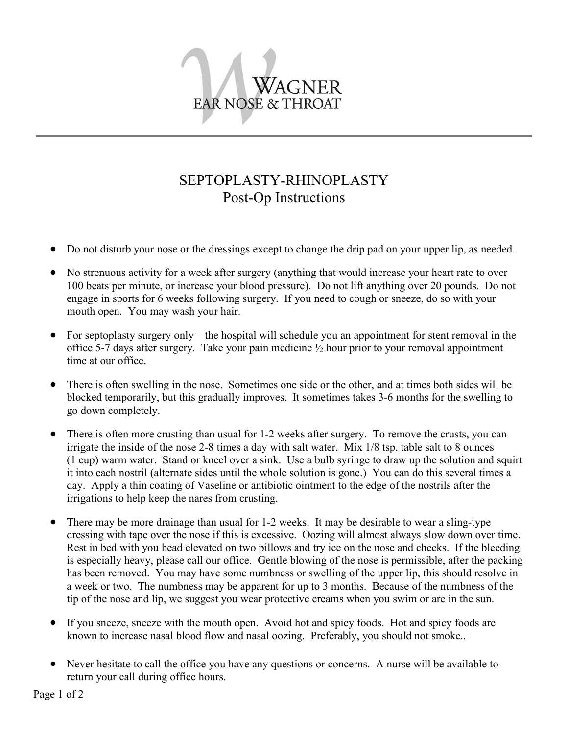

## SEPTOPLASTY-RHINOPLASTY Post-Op Instructions

- Do not disturb your nose or the dressings except to change the drip pad on your upper lip, as needed.
- No strenuous activity for a week after surgery (anything that would increase your heart rate to over 100 beats per minute, or increase your blood pressure). Do not lift anything over 20 pounds. Do not engage in sports for 6 weeks following surgery. If you need to cough or sneeze, do so with your mouth open. You may wash your hair.
- For septoplasty surgery only—the hospital will schedule you an appointment for stent removal in the office 5-7 days after surgery. Take your pain medicine  $\frac{1}{2}$  hour prior to your removal appointment time at our office.
- There is often swelling in the nose. Sometimes one side or the other, and at times both sides will be blocked temporarily, but this gradually improves. It sometimes takes 3-6 months for the swelling to go down completely.
- There is often more crusting than usual for 1-2 weeks after surgery. To remove the crusts, you can irrigate the inside of the nose 2-8 times a day with salt water. Mix 1/8 tsp. table salt to 8 ounces (1 cup) warm water. Stand or kneel over a sink. Use a bulb syringe to draw up the solution and squirt it into each nostril (alternate sides until the whole solution is gone.) You can do this several times a day. Apply a thin coating of Vaseline or antibiotic ointment to the edge of the nostrils after the irrigations to help keep the nares from crusting.
- There may be more drainage than usual for 1-2 weeks. It may be desirable to wear a sling-type dressing with tape over the nose if this is excessive. Oozing will almost always slow down over time. Rest in bed with you head elevated on two pillows and try ice on the nose and cheeks. If the bleeding is especially heavy, please call our office. Gentle blowing of the nose is permissible, after the packing has been removed. You may have some numbness or swelling of the upper lip, this should resolve in a week or two. The numbness may be apparent for up to 3 months. Because of the numbness of the tip of the nose and lip, we suggest you wear protective creams when you swim or are in the sun.
- If you sneeze, sneeze with the mouth open. Avoid hot and spicy foods. Hot and spicy foods are known to increase nasal blood flow and nasal oozing. Preferably, you should not smoke..
- Never hesitate to call the office you have any questions or concerns. A nurse will be available to return your call during office hours.